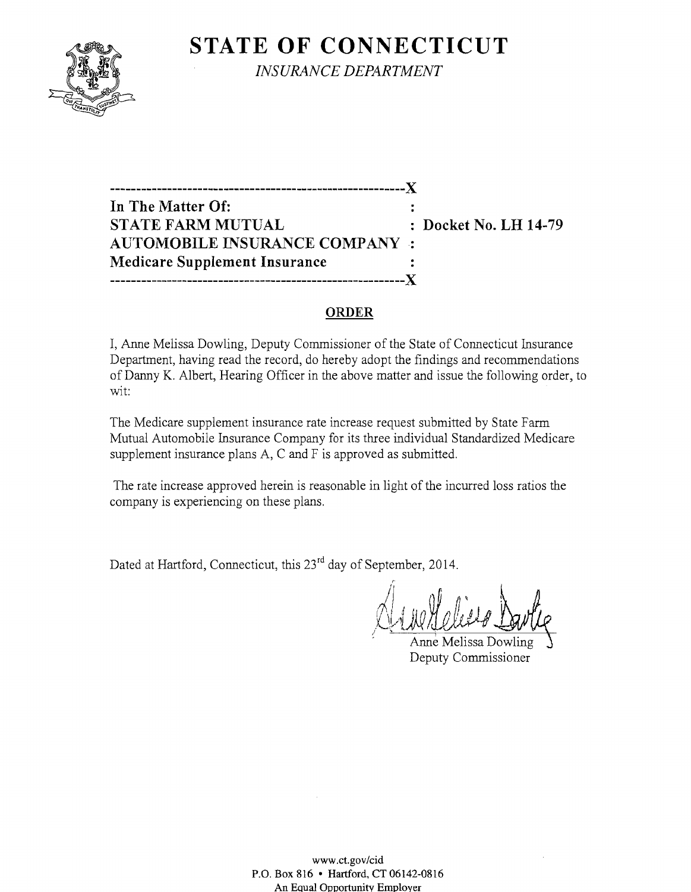# **STATE OF CONNECTICUT**



*INSURANCE DEPARTMENT* 

**---------------------------------------------------------)( In The Matter Of: STATE FARM MUTUAL** : Docket No. LH 14-79 **AUTOMOBILE INSURANCE COMPANY. Medicare Supplement Insurance ---------------------------------------------------------)(** 

#### **ORDER**

I, Anne Melissa Dowling, Deputy Commissioner of the State of Connecticut Insurance Department, having read the record, do hereby adopt the findings and recommendations of Danny K. Albert, Hearing Officer in the above matter and issue the following order, to wit:

The Medicare supplement insurance rate increase request submitted by State Farm Mutual Automobile Insurance Company for its three individual Standardized Medicare supplement insurance plans A, C and F is approved as submitted.

The rate increase approved herein is reasonable in light of the incurred loss ratios the company is experiencing on these plans.

Dated at Hartford, Connecticut, this 23<sup>rd</sup> day of September, 2014.

 $\langle 1, \ldots \rangle$  of  $\langle n \rangle$ MUHOLLE DOWL

Deputy Commissioner

www.ct.gov/cid P.O. Box 816 • Hartford, CT 06142-0816 An Equal Opportunity Employer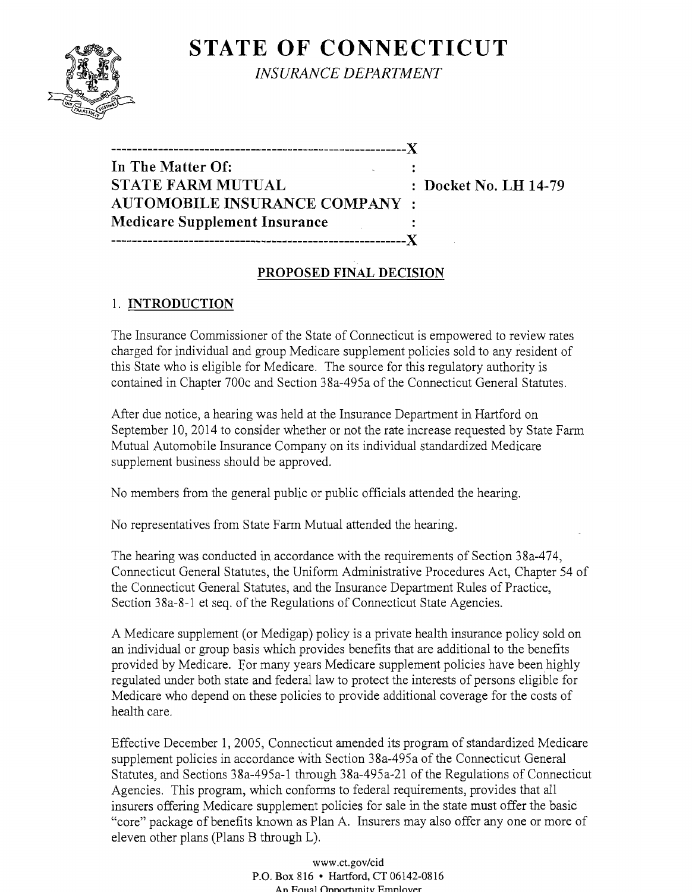

**STATE OF CONNECTICUT** 

*INSURANCE DEPARTMENT* 

# **---------------------------------------------------------)( In The Matter Of: STATE FARM MUTUAL** : Docket No. LH 14-79  $\boldsymbol{\mathsf{A} \text{U} \text{T} \text{O} \text{M} \text{O} \text{B} \text{I} \text{L} \text{E} \text{I}}$  insurance company **Medicare Supplement Insurance ---------------------------------------------------------)(**

### **PROPOSED FINAL DECISION**

# 1. **INTRODUCTION**

The Insurance Commissioner of the State of Connecticut is empowered to review rates charged for individual and group Medicare supplement policies sold to any resident of this State who is eligible for Medicare. The source for this regulatory authority is contained in Chapter 700c and Section 38a-495a of the Connecticut General Statutes.

After due notice, a hearing was held at the Insurance Department in Hartford on September 10, 2014 to consider whether or not the rate increase requested by State Farm Mutual Automobile Insurance Company on its individual standardized Medicare supplement business should be approved.

No members from the general public or public officials attended the hearing.

No representatives from State Farm Mutual attended the hearing.

The hearing was conducted in accordance with the requirements of Section 38a-474, Connecticut General Statutes, the Uniform Administrative Procedures Act, Chapter 54 of the Connecticut General Statutes, and the Insurance Department Rules of Practice, Section 38a-8-1 et seq. of the Regulations of Connecticut State Agencies.

A Medicare supplement (or Medigap) policy is a private health insurance policy sold on an individual or group basis which provides benefits that are additional to the benefits provided by Medicare. For many years Medicare supplement policies have been highly regulated under both state and federal law to protect the interests of persons eligible for Medicare who depend on these policies to provide additional coverage for the costs of health care.

Effective December 1, 2005, Connecticut amended its program of standardized Medicare supplement policies in accordance with Section 38a-495a of the Connecticut General Statutes, and Sections 38a-495a-l through 38a-495a-21 of the Regulations of Connecticut Agencies. This program, which conforms to federal requirements, provides that all insurers offering Medicare supplement policies for sale in the state must offer the basic "core" package of benefits known as Plan A. Insurers may also offer anyone or more of eleven other plans (Plans B through L).

> www.ct.gov/cid P.O. Box 816 • Hartford, CT 06142-0816 An Equal Onnortunity Emnlover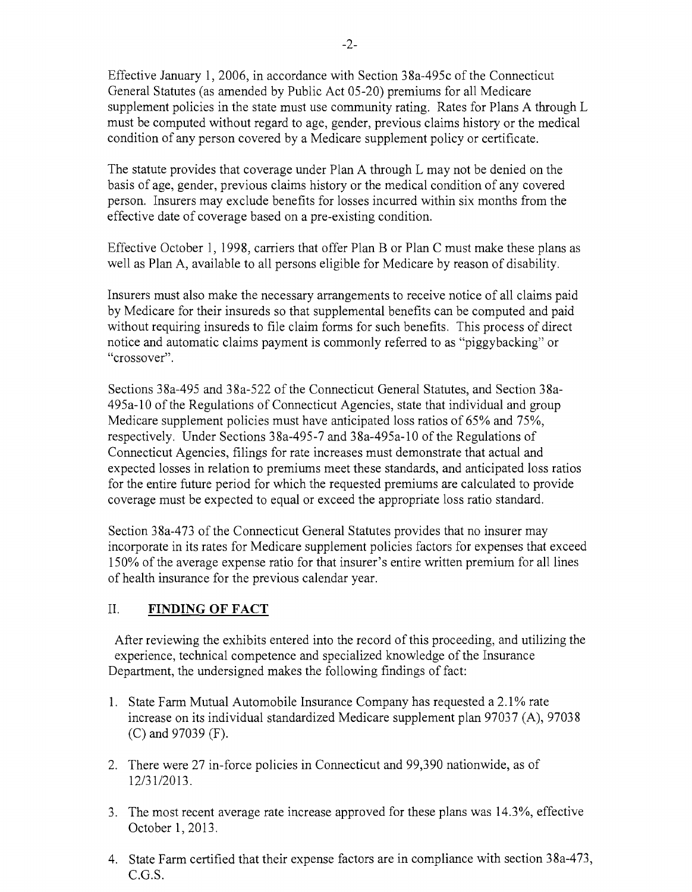Effective January 1, 2006, in accordance with Section 38a-495c of the Connecticut General Statutes (as amended by Public Act 05-20) premiums for all Medicare supplement policies in the state must use community rating. Rates for Plans A through L must be computed without regard to age, gender, previous claims history or the medical condition of any person covered by a Medicare supplement policy or certificate.

The statute provides that coverage under Plan A through L may not be denied on the basis of age, gender, previous claims history or the medical condition of any covered person. Insurers may exclude benefits for losses incurred within six months from the effective date of coverage based on a pre-existing condition.

Effective October 1, 1998, carriers that offer Plan B or Plan C must make these plans as well as Plan A, available to all persons eligible for Medicare by reason of disability.

Insurers must also make the necessary arrangements to receive notice of all claims paid by Medicare for their insureds so that supplemental benefits can be computed and paid without requiring insureds to file claim forms for such benefits. This process of direct notice and automatic claims payment is commonly referred to as "piggybacking" or "crossover".

Sections 38a-495 and 38a-522 of the Connecticut General Statutes, and Section 38a-495a-lO of the Regulations of Connecticut Agencies, state that individual and group Medicare supplement policies must have anticipated loss ratios of 65% and 75%, respectively. Under Sections 38a-495-7 and 38a-495a-lO of the Regulations of Connecticut Agencies, filings for rate increases must demonstrate that actual and expected losses in relation to premiums meet these standards, and anticipated loss ratios for the entire future period for which the requested premiums are calculated to provide coverage must be expected to equal or exceed the appropriate loss ratio standard.

Section 38a-473 of the Connecticut General Statutes provides that no insurer may incorporate in its rates for Medicare supplement policies factors for expenses that exceed 150% of the average expense ratio for that insurer's entire written premium for all lines of health insurance for the previous calendar year.

#### II. **FINDING OF FACT**

After reviewing the exhibits entered into the record of this proceeding, and utilizing the experience, technical competence and specialized knowledge of the Insurance Department, the undersigned makes the following findings of fact:

- 1. State Farm Mutual Automobile Insurance Company has requested a 2.1% rate increase on its individual standardized Medicare supplement plan 97037 (A), 97038 (C) and 97039 (F).
- 2. There were 27 in-force policies in Connecticut and 99,390 nationwide, as of 12/31/2013.
- 3. The most recent average rate increase approved for these plans was 14.3%, effective October 1,2013.
- 4. State Farm certified that their expense factors are in compliance with section 38a-473, C.G.S.